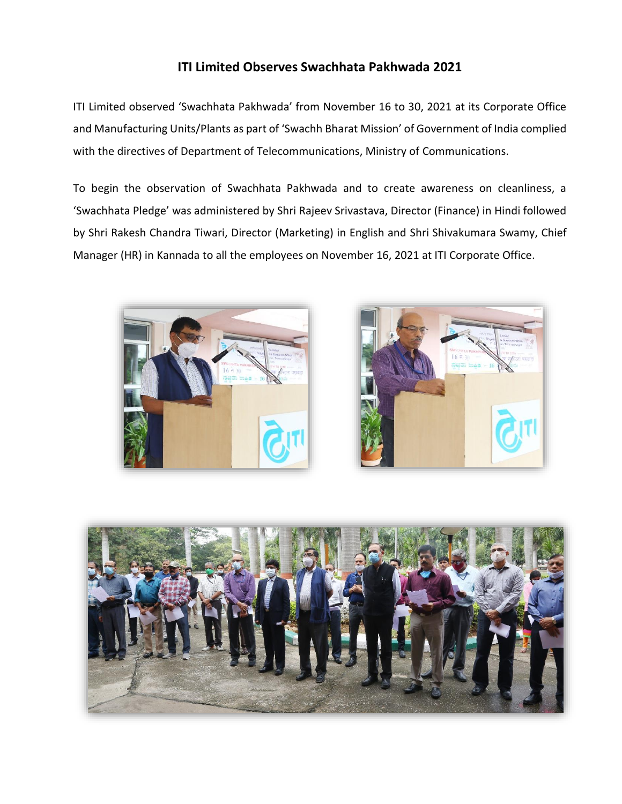## **ITI Limited Observes Swachhata Pakhwada 2021**

ITI Limited observed 'Swachhata Pakhwada' from November 16 to 30, 2021 at its Corporate Office and Manufacturing Units/Plants as part of 'Swachh Bharat Mission' of Government of India complied with the directives of Department of Telecommunications, Ministry of Communications.

To begin the observation of Swachhata Pakhwada and to create awareness on cleanliness, a 'Swachhata Pledge' was administered by Shri Rajeev Srivastava, Director (Finance) in Hindi followed by Shri Rakesh Chandra Tiwari, Director (Marketing) in English and Shri Shivakumara Swamy, Chief Manager (HR) in Kannada to all the employees on November 16, 2021 at ITI Corporate Office.